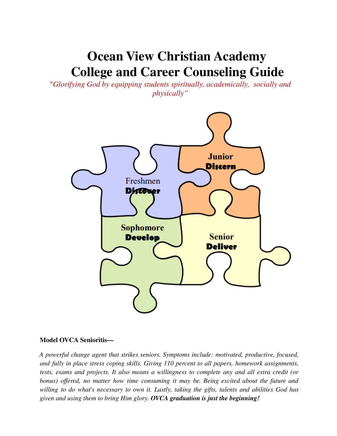# **Ocean View Christian Academy College and Career Counseling Guide**

*"Glorifying God by equipping students spiritually, academically, socially and physically"*



#### **Model OVCA Senioritis—**

*A powerful change agent that strikes seniors. Symptoms include: motivated, productive, focused, and fully in place stress coping skills. Giving 110 percent to all papers, homework assignments, tests, exams and projects. It also means a willingness to complete any and all extra credit (or bonus) offered, no matter how time consuming it may be. Being excited about the future and willing to do what's necessary to own it. Lastly, taking the gifts, talents and abilities God has given and using them to bring Him glory. OVCA graduation is just the beginning!*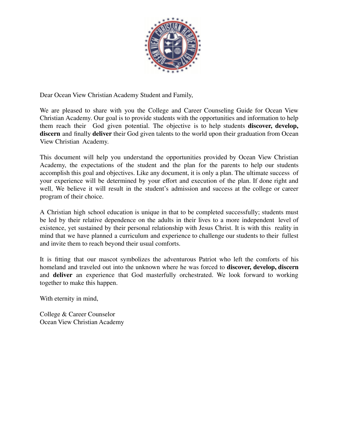

Dear Ocean View Christian Academy Student and Family,

We are pleased to share with you the College and Career Counseling Guide for Ocean View Christian Academy. Our goal is to provide students with the opportunities and information to help them reach their God given potential. The objective is to help students **discover, develop, discern** and finally **deliver** their God given talents to the world upon their graduation from Ocean View Christian Academy.

This document will help you understand the opportunities provided by Ocean View Christian Academy, the expectations of the student and the plan for the parents to help our students accomplish this goal and objectives. Like any document, it is only a plan. The ultimate success of your experience will be determined by your effort and execution of the plan. If done right and well, We believe it will result in the student's admission and success at the college or career program of their choice.

A Christian high school education is unique in that to be completed successfully; students must be led by their relative dependence on the adults in their lives to a more independent level of existence, yet sustained by their personal relationship with Jesus Christ. It is with this reality in mind that we have planned a curriculum and experience to challenge our students to their fullest and invite them to reach beyond their usual comforts.

It is fitting that our mascot symbolizes the adventurous Patriot who left the comforts of his homeland and traveled out into the unknown where he was forced to **discover, develop, discern** and **deliver** an experience that God masterfully orchestrated. We look forward to working together to make this happen.

With eternity in mind,

College & Career Counselor Ocean View Christian Academy